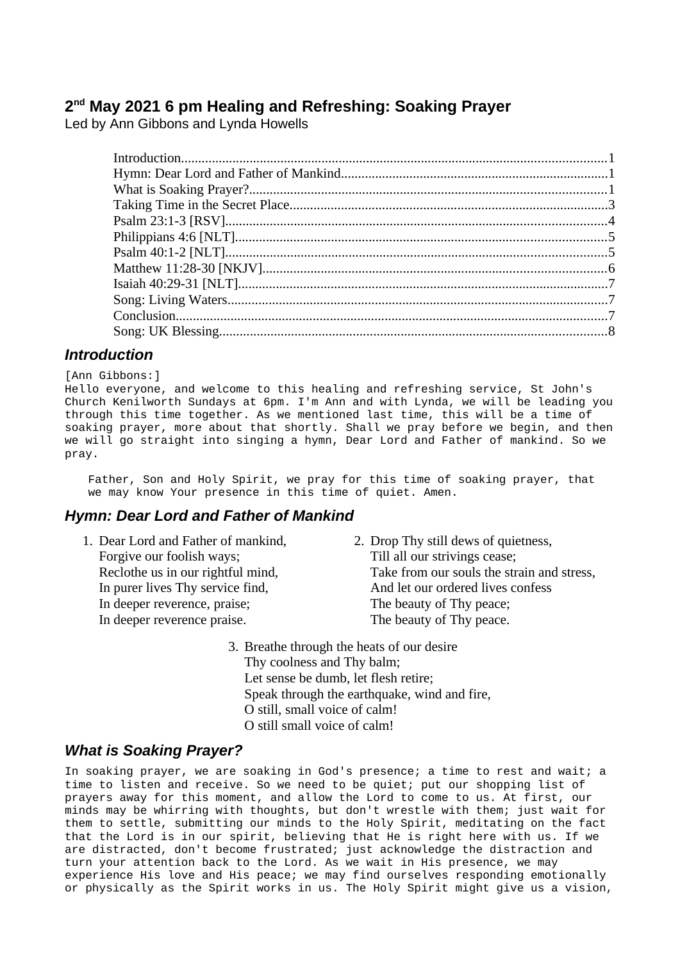# **2 nd May 2021 6 pm Healing and Refreshing: Soaking Prayer**

Led by Ann Gibbons and Lynda Howells

## <span id="page-0-0"></span>*Introduction*

[Ann Gibbons:]

Hello everyone, and welcome to this healing and refreshing service, St John's Church Kenilworth Sundays at 6pm. I'm Ann and with Lynda, we will be leading you through this time together. As we mentioned last time, this will be a time of soaking prayer, more about that shortly. Shall we pray before we begin, and then we will go straight into singing a hymn, Dear Lord and Father of mankind. So we pray.

Father, Son and Holy Spirit, we pray for this time of soaking prayer, that we may know Your presence in this time of quiet. Amen.

## <span id="page-0-2"></span>*Hymn: Dear Lord and Father of Mankind*

| 1. Dear Lord and Father of mankind, | 2. Drop Thy still dews of quietness,       |
|-------------------------------------|--------------------------------------------|
| Forgive our foolish ways;           | Till all our strivings cease;              |
| Reclothe us in our rightful mind,   | Take from our souls the strain and stress, |
| In purer lives Thy service find,    | And let our ordered lives confess          |
| In deeper reverence, praise;        | The beauty of Thy peace;                   |
| In deeper reverence praise.         | The beauty of Thy peace.                   |
|                                     |                                            |

3. Breathe through the heats of our desire Thy coolness and Thy balm; Let sense be dumb, let flesh retire; Speak through the earthquake, wind and fire, O still, small voice of calm! O still small voice of calm!

## <span id="page-0-1"></span>*What is Soaking Prayer?*

In soaking prayer, we are soaking in God's presence; a time to rest and wait; a time to listen and receive. So we need to be quiet; put our shopping list of prayers away for this moment, and allow the Lord to come to us. At first, our minds may be whirring with thoughts, but don't wrestle with them; just wait for them to settle, submitting our minds to the Holy Spirit, meditating on the fact that the Lord is in our spirit, believing that He is right here with us. If we are distracted, don't become frustrated; just acknowledge the distraction and turn your attention back to the Lord. As we wait in His presence, we may experience His love and His peace; we may find ourselves responding emotionally or physically as the Spirit works in us. The Holy Spirit might give us a vision,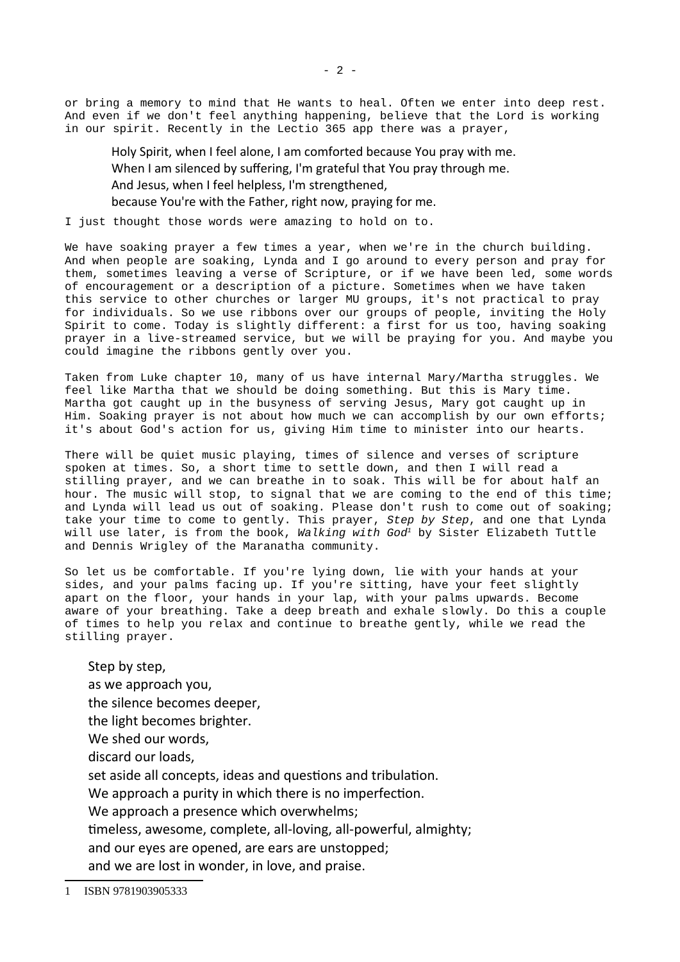or bring a memory to mind that He wants to heal. Often we enter into deep rest. And even if we don't feel anything happening, believe that the Lord is working in our spirit. Recently in the Lectio 365 app there was a prayer,

Holy Spirit, when I feel alone, I am comforted because You pray with me. When I am silenced by suffering, I'm grateful that You pray through me. And Jesus, when I feel helpless, I'm strengthened, because You're with the Father, right now, praying for me.

I just thought those words were amazing to hold on to.

We have soaking prayer a few times a year, when we're in the church building. And when people are soaking, Lynda and I go around to every person and pray for them, sometimes leaving a verse of Scripture, or if we have been led, some words of encouragement or a description of a picture. Sometimes when we have taken this service to other churches or larger MU groups, it's not practical to pray for individuals. So we use ribbons over our groups of people, inviting the Holy Spirit to come. Today is slightly different: a first for us too, having soaking prayer in a live-streamed service, but we will be praying for you. And maybe you could imagine the ribbons gently over you.

Taken from Luke chapter 10, many of us have internal Mary/Martha struggles. We feel like Martha that we should be doing something. But this is Mary time. Martha got caught up in the busyness of serving Jesus, Mary got caught up in Him. Soaking prayer is not about how much we can accomplish by our own efforts; it's about God's action for us, giving Him time to minister into our hearts.

There will be quiet music playing, times of silence and verses of scripture spoken at times. So, a short time to settle down, and then I will read a stilling prayer, and we can breathe in to soak. This will be for about half an hour. The music will stop, to signal that we are coming to the end of this time; and Lynda will lead us out of soaking. Please don't rush to come out of soaking; take your time to come to gently. This prayer, *Step by Step*, and one that Lynda will use later, is from the book, *Walking with God[1](#page-1-0)* by Sister Elizabeth Tuttle and Dennis Wrigley of the Maranatha community.

So let us be comfortable. If you're lying down, lie with your hands at your sides, and your palms facing up. If you're sitting, have your feet slightly apart on the floor, your hands in your lap, with your palms upwards. Become aware of your breathing. Take a deep breath and exhale slowly. Do this a couple of times to help you relax and continue to breathe gently, while we read the stilling prayer.

Step by step, as we approach you, the silence becomes deeper, the light becomes brighter. We shed our words, discard our loads, set aside all concepts, ideas and questions and tribulation. We approach a purity in which there is no imperfection. We approach a presence which overwhelms; timeless, awesome, complete, all-loving, all-powerful, almighty; and our eyes are opened, are ears are unstopped; and we are lost in wonder, in love, and praise.

<span id="page-1-0"></span><sup>1</sup> ISBN 9781903905333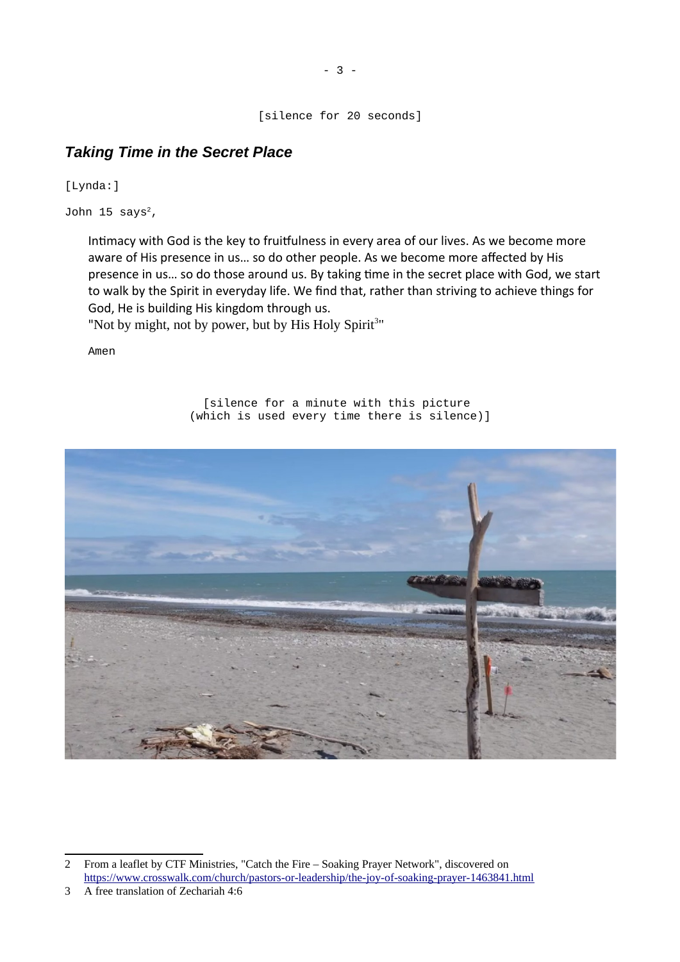[silence for 20 seconds]

# <span id="page-2-0"></span>*Taking Time in the Secret Place*

[Lynda:]

John 15 says $^2$  $^2$ ,

Intimacy with God is the key to fruitfulness in every area of our lives. As we become more aware of His presence in us… so do other people. As we become more affected by His presence in us… so do those around us. By taking time in the secret place with God, we start to walk by the Spirit in everyday life. We find that, rather than striving to achieve things for God, He is building His kingdom through us.

"Not by might, not by power, but by His Holy Spirit<sup>[3](#page-2-2)"</sup>

Amen

[silence for a minute with this picture (which is used every time there is silence)]



<span id="page-2-1"></span><sup>2</sup> From a leaflet by CTF Ministries, "Catch the Fire – Soaking Prayer Network", discovered on <https://www.crosswalk.com/church/pastors-or-leadership/the-joy-of-soaking-prayer-1463841.html>

<span id="page-2-2"></span><sup>3</sup> A free translation of Zechariah 4:6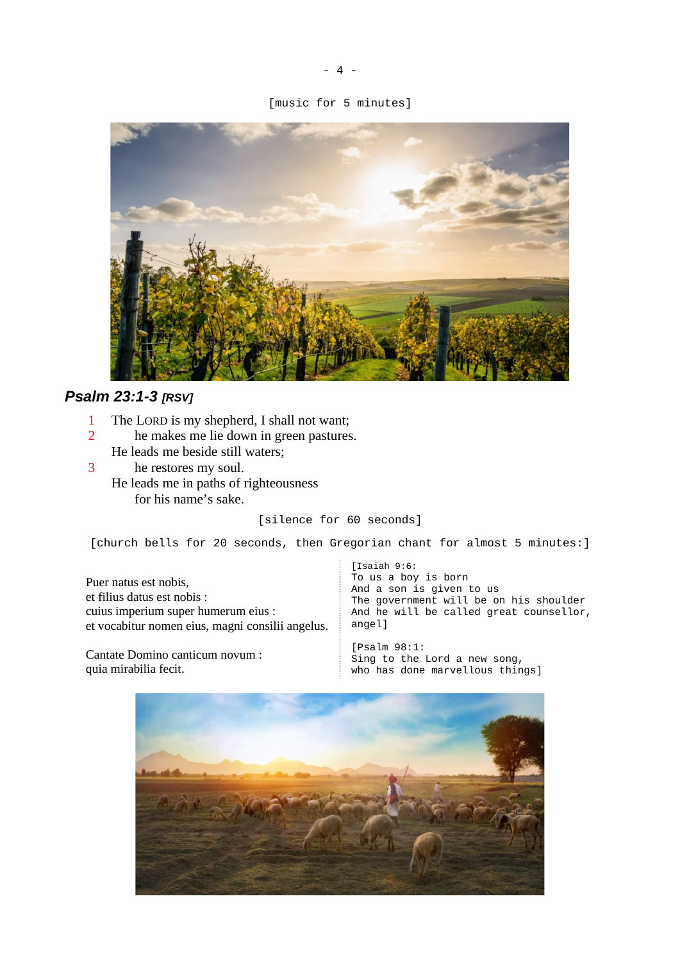#### [music for 5 minutes]



# <span id="page-3-0"></span>*Psalm 23:1-3 [RSV]*

- 1 The LORD is my shepherd, I shall not want;<br>2 he makes me lie down in green pastures
- he makes me lie down in green pastures. He leads me beside still waters;
- 3 he restores my soul. He leads me in paths of righteousness for his name's sake.

### [silence for 60 seconds]

[church bells for 20 seconds, then Gregorian chant for almost 5 minutes:]

Puer natus est nobis, et filius datus est nobis : cuius imperium super humerum eius : et vocabitur nomen eius, magni consilii angelus.

Cantate Domino canticum novum : quia mirabilia fecit.

[Isaiah 9:6: To us a boy is born And a son is given to us The government will be on his shoulder And he will be called great counsellor, angel]

[Psalm 98:1: Sing to the Lord a new song, who has done marvellous things]

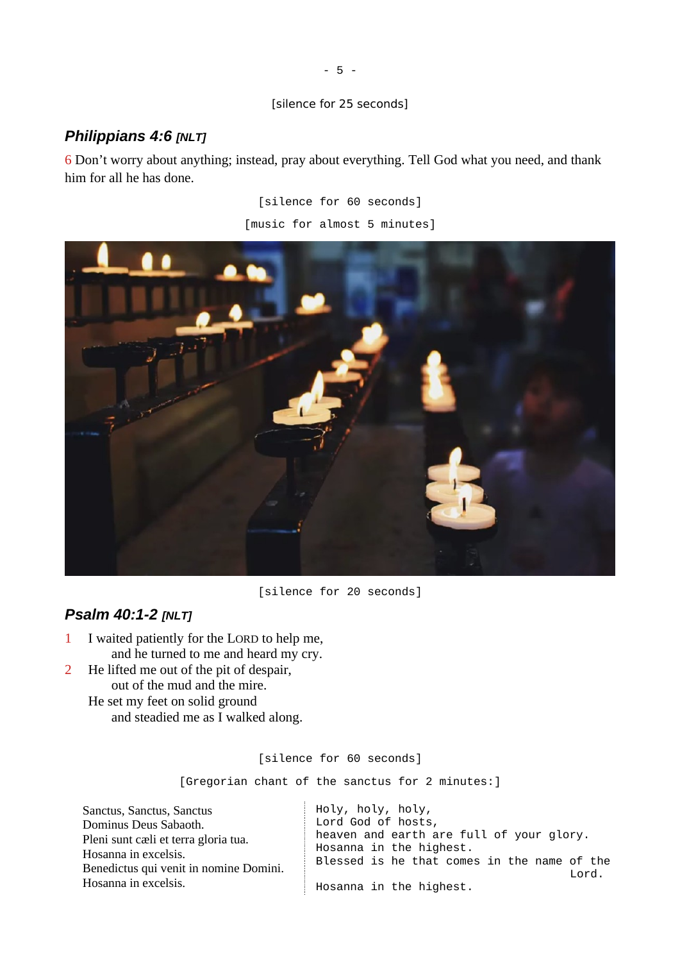### [silence for 25 seconds]

## <span id="page-4-1"></span>*Philippians 4:6 [NLT]*

6 Don't worry about anything; instead, pray about everything. Tell God what you need, and thank him for all he has done.

> [silence for 60 seconds] [music for almost 5 minutes]



[silence for 20 seconds]

## <span id="page-4-0"></span>*Psalm 40:1-2 [NLT]*

- 1 I waited patiently for the LORD to help me, and he turned to me and heard my cry.
- 2 He lifted me out of the pit of despair, out of the mud and the mire.
	- He set my feet on solid ground and steadied me as I walked along.

[silence for 60 seconds]

[Gregorian chant of the sanctus for 2 minutes:]

Sanctus, Sanctus, Sanctus Dominus Deus Sabaoth. Pleni sunt cæli et terra gloria tua. Hosanna in excelsis. Benedictus qui venit in nomine Domini. Hosanna in excelsis. Holy, holy, holy, Lord God of hosts, heaven and earth are full of your glory. Hosanna in the highest. Blessed is he that comes in the name of the Lord. Hosanna in the highest.

- 5 -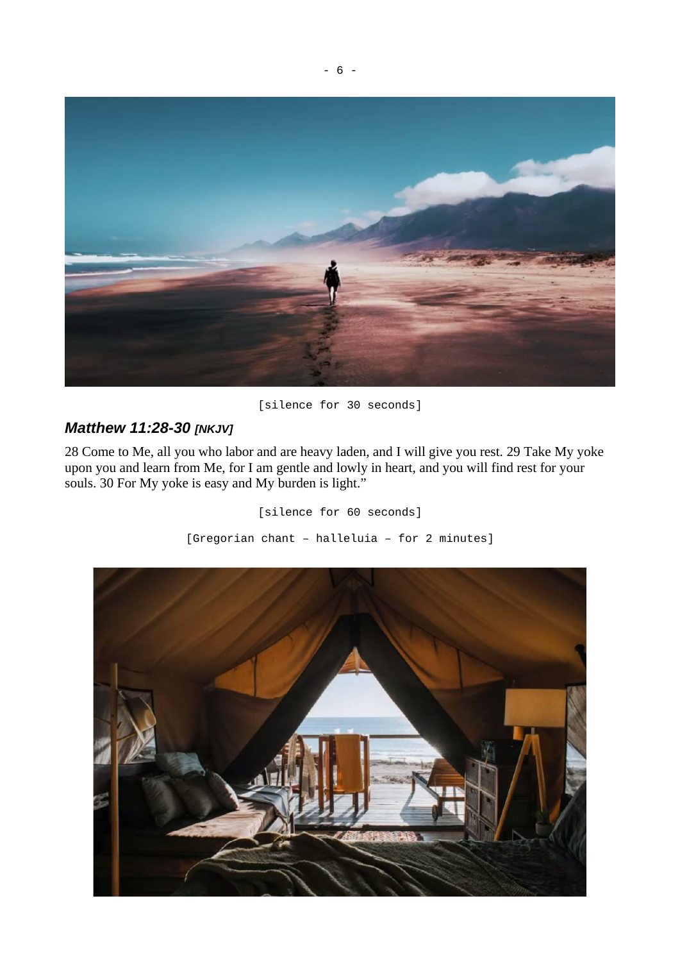

## [silence for 30 seconds]

# <span id="page-5-0"></span>*Matthew 11:28-30 [NKJV]*

28 Come to Me, all you who labor and are heavy laden, and I will give you rest. 29 Take My yoke upon you and learn from Me, for I am gentle and lowly in heart, and you will find rest for your souls. 30 For My yoke is easy and My burden is light."

> [silence for 60 seconds] [Gregorian chant – halleluia – for 2 minutes]

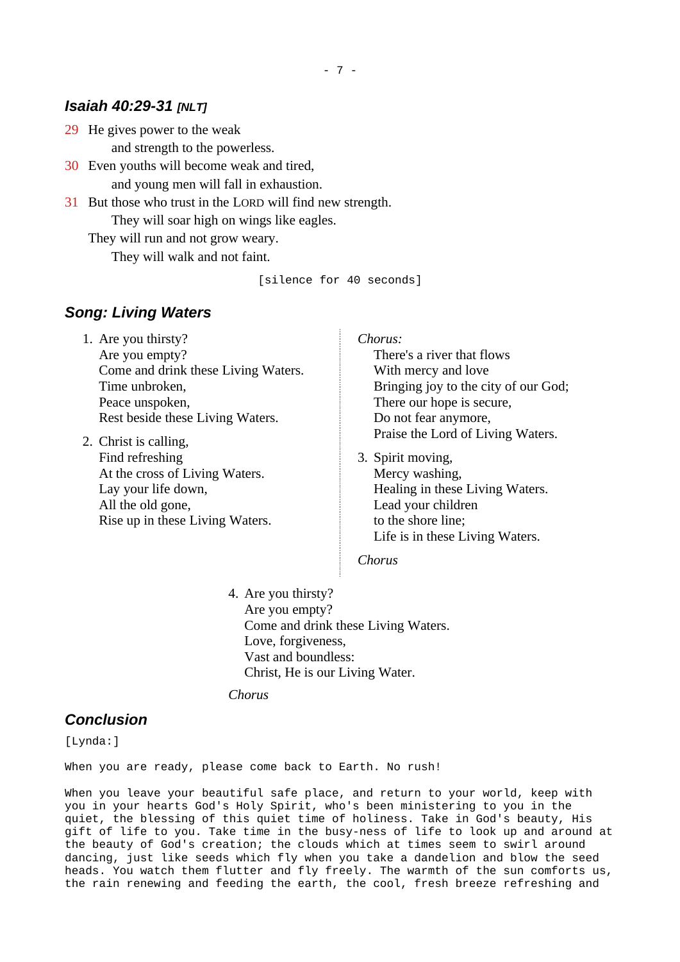### <span id="page-6-2"></span>*Isaiah 40:29-31 [NLT]*

29 He gives power to the weak and strength to the powerless.

- 30 Even youths will become weak and tired, and young men will fall in exhaustion.
- 31 But those who trust in the LORD will find new strength. They will soar high on wings like eagles.

They will run and not grow weary. They will walk and not faint.

[silence for 40 seconds]

## <span id="page-6-1"></span>*Song: Living Waters*

- 1. Are you thirsty? Are you empty? Come and drink these Living Waters. Time unbroken, Peace unspoken, Rest beside these Living Waters.
- 2. Christ is calling, Find refreshing At the cross of Living Waters. Lay your life down, All the old gone, Rise up in these Living Waters.

*Chorus:*

There's a river that flows With mercy and love Bringing joy to the city of our God; There our hope is secure, Do not fear anymore, Praise the Lord of Living Waters.

3. Spirit moving, Mercy washing, Healing in these Living Waters. Lead your children to the shore line; Life is in these Living Waters.

*Chorus*

4. Are you thirsty? Are you empty? Come and drink these Living Waters. Love, forgiveness, Vast and boundless: Christ, He is our Living Water.

*Chorus*

### <span id="page-6-0"></span>*Conclusion*

[Lynda:]

When you are ready, please come back to Earth. No rush!

When you leave your beautiful safe place, and return to your world, keep with you in your hearts God's Holy Spirit, who's been ministering to you in the quiet, the blessing of this quiet time of holiness. Take in God's beauty, His gift of life to you. Take time in the busy-ness of life to look up and around at the beauty of God's creation; the clouds which at times seem to swirl around dancing, just like seeds which fly when you take a dandelion and blow the seed heads. You watch them flutter and fly freely. The warmth of the sun comforts us, the rain renewing and feeding the earth, the cool, fresh breeze refreshing and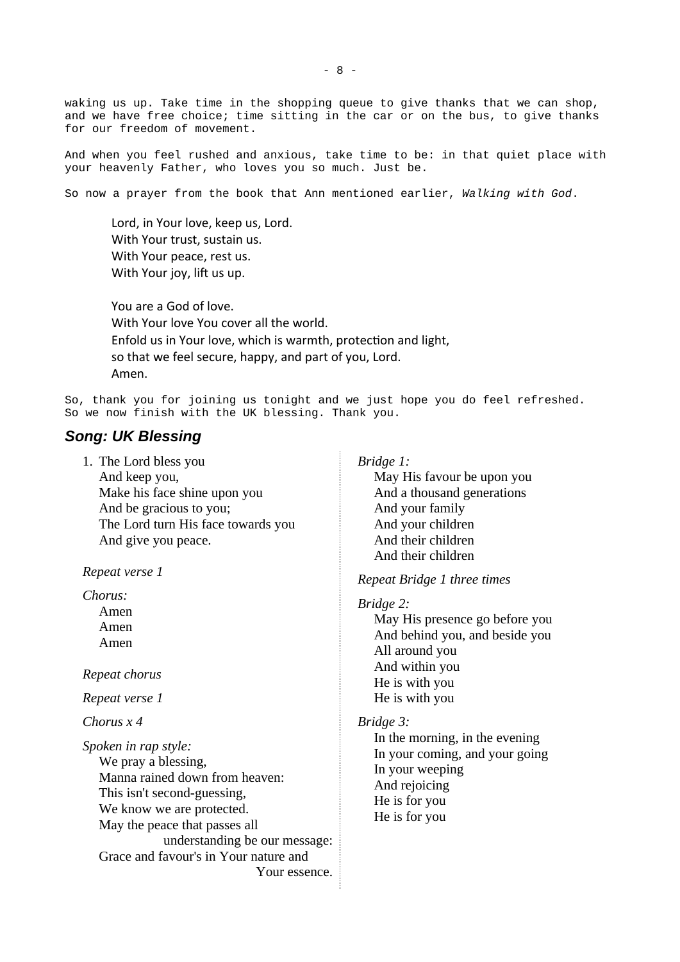waking us up. Take time in the shopping queue to give thanks that we can shop, and we have free choice; time sitting in the car or on the bus, to give thanks for our freedom of movement.

And when you feel rushed and anxious, take time to be: in that quiet place with your heavenly Father, who loves you so much. Just be.

So now a prayer from the book that Ann mentioned earlier, *Walking with God*.

Lord, in Your love, keep us, Lord. With Your trust, sustain us. With Your peace, rest us. With Your joy, lift us up.

You are a God of love. With Your love You cover all the world. Enfold us in Your love, which is warmth, protection and light, so that we feel secure, happy, and part of you, Lord. Amen.

So, thank you for joining us tonight and we just hope you do feel refreshed. So we now finish with the UK blessing. Thank you.

#### <span id="page-7-0"></span>*Song: UK Blessing*

| 1. The Lord bless you              |
|------------------------------------|
| And keep you,                      |
| Make his face shine upon you       |
| And be gracious to you;            |
| The Lord turn His face towards you |
| And give you peace.                |

*Repeat verse 1*

*Chorus:*

Amen Amen Amen

*Repeat chorus*

*Repeat verse 1*

*Chorus x 4*

*Spoken in rap style:* We pray a blessing, Manna rained down from heaven: This isn't second-guessing, We know we are protected. May the peace that passes all understanding be our message: Grace and favour's in Your nature and Your essence.

#### *Bridge 1:*

May His favour be upon you And a thousand generations And your family And your children And their children And their children

*Repeat Bridge 1 three times*

*Bridge 2:*

May His presence go before you And behind you, and beside you All around you And within you He is with you He is with you

*Bridge 3:*

In the morning, in the evening In your coming, and your going In your weeping And rejoicing He is for you He is for you